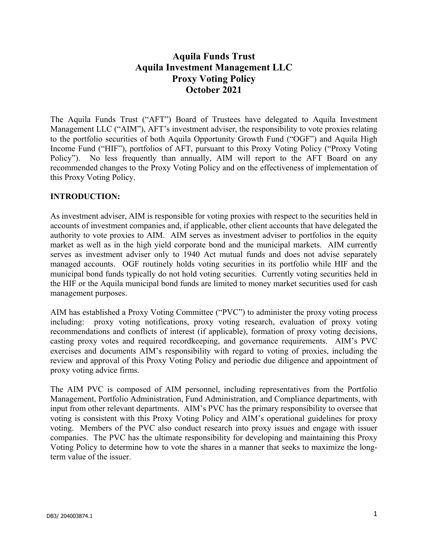# **Aquila Funds Trust Aquila Investment Management LLC Proxy Voting Policy October 2021**

The Aquila Funds Trust ("AFT") Board of Trustees have delegated to Aquila Investment Management LLC ("AIM"), AFT's investment adviser, the responsibility to vote proxies relating to the portfolio securities of both Aquila Opportunity Growth Fund ("OGF") and Aquila High Income Fund ("HIF"), portfolios of AFT, pursuant to this Proxy Voting Policy ("Proxy Voting Policy"). No less frequently than annually, AIM will report to the AFT Board on any recommended changes to the Proxy Voting Policy and on the effectiveness of implementation of this Proxy Voting Policy.

## **INTRODUCTION:**

As investment adviser, AIM is responsible for voting proxies with respect to the securities held in accounts of investment companies and, if applicable, other client accounts that have delegated the authority to vote proxies to AIM. AIM serves as investment adviser to portfolios in the equity market as well as in the high yield corporate bond and the municipal markets. AIM currently serves as investment adviser only to 1940 Act mutual funds and does not advise separately managed accounts. OGF routinely holds voting securities in its portfolio while HIF and the municipal bond funds typically do not hold voting securities. Currently voting securities held in the HIF or the Aquila municipal bond funds are limited to money market securities used for cash management purposes.

AIM has established a Proxy Voting Committee ("PVC") to administer the proxy voting process including: proxy voting notifications, proxy voting research, evaluation of proxy voting recommendations and conflicts of interest (if applicable), formation of proxy voting decisions, casting proxy votes and required recordkeeping, and governance requirements. AIM's PVC exercises and documents AIM's responsibility with regard to voting of proxies, including the review and approval of this Proxy Voting Policy and periodic due diligence and appointment of proxy voting advice firms.

The AIM PVC is composed of AIM personnel, including representatives from the Portfolio Management, Portfolio Administration, Fund Administration, and Compliance departments, with input from other relevant departments. AIM's PVC has the primary responsibility to oversee that voting is consistent with this Proxy Voting Policy and AIM's operational guidelines for proxy voting. Members of the PVC also conduct research into proxy issues and engage with issuer companies. The PVC has the ultimate responsibility for developing and maintaining this Proxy Voting Policy to determine how to vote the shares in a manner that seeks to maximize the longterm value of the issuer.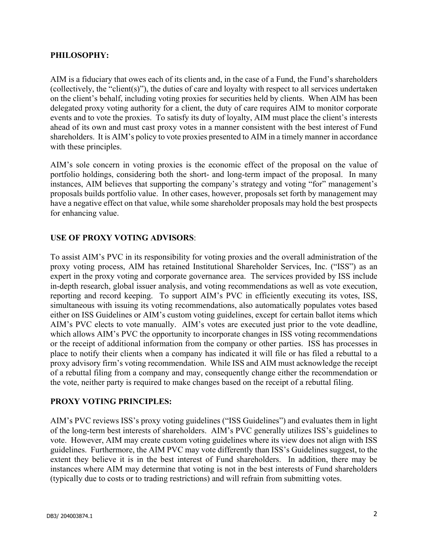#### **PHILOSOPHY:**

AIM is a fiduciary that owes each of its clients and, in the case of a Fund, the Fund's shareholders (collectively, the "client(s)"), the duties of care and loyalty with respect to all services undertaken on the client's behalf, including voting proxies for securities held by clients. When AIM has been delegated proxy voting authority for a client, the duty of care requires AIM to monitor corporate events and to vote the proxies. To satisfy its duty of loyalty, AIM must place the client's interests ahead of its own and must cast proxy votes in a manner consistent with the best interest of Fund shareholders. It is AIM's policy to vote proxies presented to AIM in a timely manner in accordance with these principles.

AIM's sole concern in voting proxies is the economic effect of the proposal on the value of portfolio holdings, considering both the short- and long-term impact of the proposal. In many instances, AIM believes that supporting the company's strategy and voting "for" management's proposals builds portfolio value. In other cases, however, proposals set forth by management may have a negative effect on that value, while some shareholder proposals may hold the best prospects for enhancing value.

#### **USE OF PROXY VOTING ADVISORS**:

To assist AIM's PVC in its responsibility for voting proxies and the overall administration of the proxy voting process, AIM has retained Institutional Shareholder Services, Inc. ("ISS") as an expert in the proxy voting and corporate governance area. The services provided by ISS include in-depth research, global issuer analysis, and voting recommendations as well as vote execution, reporting and record keeping. To support AIM's PVC in efficiently executing its votes, ISS, simultaneous with issuing its voting recommendations, also automatically populates votes based either on ISS Guidelines or AIM's custom voting guidelines, except for certain ballot items which AIM's PVC elects to vote manually. AIM's votes are executed just prior to the vote deadline, which allows AIM's PVC the opportunity to incorporate changes in ISS voting recommendations or the receipt of additional information from the company or other parties. ISS has processes in place to notify their clients when a company has indicated it will file or has filed a rebuttal to a proxy advisory firm's voting recommendation. While ISS and AIM must acknowledge the receipt of a rebuttal filing from a company and may, consequently change either the recommendation or the vote, neither party is required to make changes based on the receipt of a rebuttal filing.

#### **PROXY VOTING PRINCIPLES:**

AIM's PVC reviews ISS's proxy voting guidelines ("ISS Guidelines") and evaluates them in light of the long-term best interests of shareholders. AIM's PVC generally utilizes ISS's guidelines to vote. However, AIM may create custom voting guidelines where its view does not align with ISS guidelines. Furthermore, the AIM PVC may vote differently than ISS's Guidelines suggest, to the extent they believe it is in the best interest of Fund shareholders. In addition, there may be instances where AIM may determine that voting is not in the best interests of Fund shareholders (typically due to costs or to trading restrictions) and will refrain from submitting votes.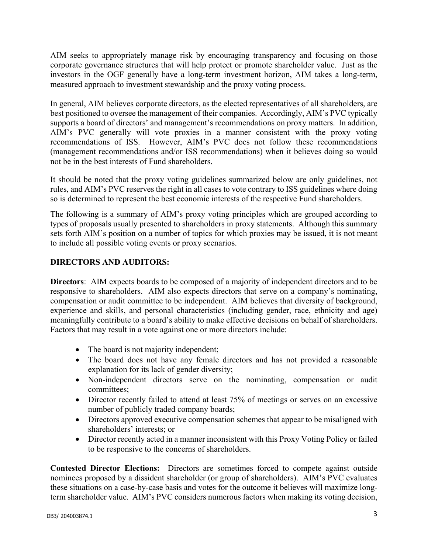AIM seeks to appropriately manage risk by encouraging transparency and focusing on those corporate governance structures that will help protect or promote shareholder value. Just as the investors in the OGF generally have a long-term investment horizon, AIM takes a long-term, measured approach to investment stewardship and the proxy voting process.

In general, AIM believes corporate directors, as the elected representatives of all shareholders, are best positioned to oversee the management of their companies. Accordingly, AIM's PVC typically supports a board of directors' and management's recommendations on proxy matters. In addition, AIM's PVC generally will vote proxies in a manner consistent with the proxy voting recommendations of ISS. However, AIM's PVC does not follow these recommendations (management recommendations and/or ISS recommendations) when it believes doing so would not be in the best interests of Fund shareholders.

It should be noted that the proxy voting guidelines summarized below are only guidelines, not rules, and AIM's PVC reserves the right in all cases to vote contrary to ISS guidelines where doing so is determined to represent the best economic interests of the respective Fund shareholders.

The following is a summary of AIM's proxy voting principles which are grouped according to types of proposals usually presented to shareholders in proxy statements. Although this summary sets forth AIM's position on a number of topics for which proxies may be issued, it is not meant to include all possible voting events or proxy scenarios.

## **DIRECTORS AND AUDITORS:**

**Directors**: AIM expects boards to be composed of a majority of independent directors and to be responsive to shareholders. AIM also expects directors that serve on a company's nominating, compensation or audit committee to be independent. AIM believes that diversity of background, experience and skills, and personal characteristics (including gender, race, ethnicity and age) meaningfully contribute to a board's ability to make effective decisions on behalf of shareholders. Factors that may result in a vote against one or more directors include:

- The board is not majority independent;
- The board does not have any female directors and has not provided a reasonable explanation for its lack of gender diversity;
- Non-independent directors serve on the nominating, compensation or audit committees;
- Director recently failed to attend at least 75% of meetings or serves on an excessive number of publicly traded company boards;
- Directors approved executive compensation schemes that appear to be misaligned with shareholders' interests; or
- Director recently acted in a manner inconsistent with this Proxy Voting Policy or failed to be responsive to the concerns of shareholders.

**Contested Director Elections:** Directors are sometimes forced to compete against outside nominees proposed by a dissident shareholder (or group of shareholders). AIM's PVC evaluates these situations on a case-by-case basis and votes for the outcome it believes will maximize longterm shareholder value. AIM's PVC considers numerous factors when making its voting decision,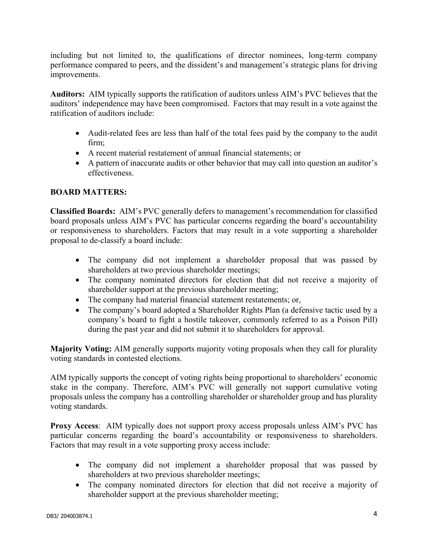including but not limited to, the qualifications of director nominees, long-term company performance compared to peers, and the dissident's and management's strategic plans for driving improvements.

**Auditors:** AIM typically supports the ratification of auditors unless AIM's PVC believes that the auditors' independence may have been compromised. Factors that may result in a vote against the ratification of auditors include:

- Audit-related fees are less than half of the total fees paid by the company to the audit firm;
- A recent material restatement of annual financial statements; or
- A pattern of inaccurate audits or other behavior that may call into question an auditor's effectiveness.

# **BOARD MATTERS:**

**Classified Boards:** AIM's PVC generally defers to management's recommendation for classified board proposals unless AIM's PVC has particular concerns regarding the board's accountability or responsiveness to shareholders. Factors that may result in a vote supporting a shareholder proposal to de-classify a board include:

- The company did not implement a shareholder proposal that was passed by shareholders at two previous shareholder meetings;
- The company nominated directors for election that did not receive a majority of shareholder support at the previous shareholder meeting;
- The company had material financial statement restatements; or,
- The company's board adopted a Shareholder Rights Plan (a defensive tactic used by a company's board to fight a hostile takeover, commonly referred to as a Poison Pill) during the past year and did not submit it to shareholders for approval.

**Majority Voting:** AIM generally supports majority voting proposals when they call for plurality voting standards in contested elections.

AIM typically supports the concept of voting rights being proportional to shareholders' economic stake in the company. Therefore, AIM's PVC will generally not support cumulative voting proposals unless the company has a controlling shareholder or shareholder group and has plurality voting standards.

**Proxy Access**: AIM typically does not support proxy access proposals unless AIM's PVC has particular concerns regarding the board's accountability or responsiveness to shareholders. Factors that may result in a vote supporting proxy access include:

- The company did not implement a shareholder proposal that was passed by shareholders at two previous shareholder meetings;
- The company nominated directors for election that did not receive a majority of shareholder support at the previous shareholder meeting;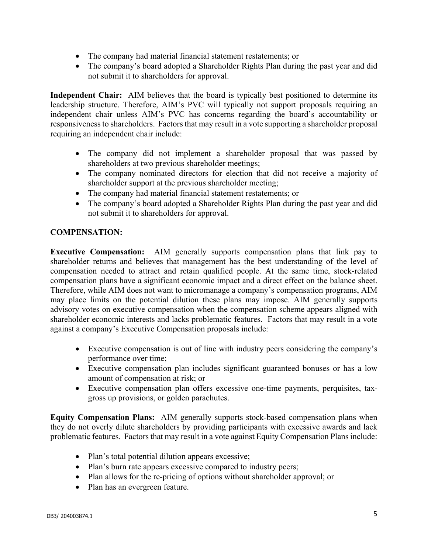- The company had material financial statement restatements; or
- The company's board adopted a Shareholder Rights Plan during the past year and did not submit it to shareholders for approval.

**Independent Chair:** AIM believes that the board is typically best positioned to determine its leadership structure. Therefore, AIM's PVC will typically not support proposals requiring an independent chair unless AIM's PVC has concerns regarding the board's accountability or responsiveness to shareholders. Factors that may result in a vote supporting a shareholder proposal requiring an independent chair include:

- The company did not implement a shareholder proposal that was passed by shareholders at two previous shareholder meetings;
- The company nominated directors for election that did not receive a majority of shareholder support at the previous shareholder meeting;
- The company had material financial statement restatements; or
- The company's board adopted a Shareholder Rights Plan during the past year and did not submit it to shareholders for approval.

## **COMPENSATION:**

**Executive Compensation:** AIM generally supports compensation plans that link pay to shareholder returns and believes that management has the best understanding of the level of compensation needed to attract and retain qualified people. At the same time, stock-related compensation plans have a significant economic impact and a direct effect on the balance sheet. Therefore, while AIM does not want to micromanage a company's compensation programs, AIM may place limits on the potential dilution these plans may impose. AIM generally supports advisory votes on executive compensation when the compensation scheme appears aligned with shareholder economic interests and lacks problematic features. Factors that may result in a vote against a company's Executive Compensation proposals include:

- Executive compensation is out of line with industry peers considering the company's performance over time;
- Executive compensation plan includes significant guaranteed bonuses or has a low amount of compensation at risk; or
- Executive compensation plan offers excessive one-time payments, perquisites, taxgross up provisions, or golden parachutes.

**Equity Compensation Plans:** AIM generally supports stock-based compensation plans when they do not overly dilute shareholders by providing participants with excessive awards and lack problematic features. Factors that may result in a vote against Equity Compensation Plans include:

- Plan's total potential dilution appears excessive;
- Plan's burn rate appears excessive compared to industry peers;
- Plan allows for the re-pricing of options without shareholder approval; or
- Plan has an evergreen feature.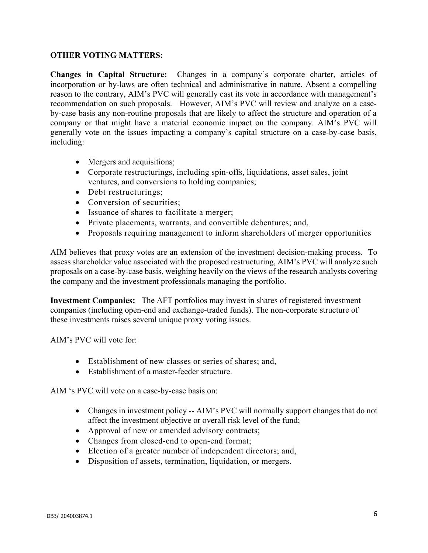#### **OTHER VOTING MATTERS:**

**Changes in Capital Structure:** Changes in a company's corporate charter, articles of incorporation or by-laws are often technical and administrative in nature. Absent a compelling reason to the contrary, AIM's PVC will generally cast its vote in accordance with management's recommendation on such proposals. However, AIM's PVC will review and analyze on a caseby-case basis any non-routine proposals that are likely to affect the structure and operation of a company or that might have a material economic impact on the company. AIM's PVC will generally vote on the issues impacting a company's capital structure on a case-by-case basis, including:

- Mergers and acquisitions;
- Corporate restructurings, including spin-offs, liquidations, asset sales, joint ventures, and conversions to holding companies;
- Debt restructurings;
- Conversion of securities;
- Issuance of shares to facilitate a merger;
- Private placements, warrants, and convertible debentures; and,
- Proposals requiring management to inform shareholders of merger opportunities

AIM believes that proxy votes are an extension of the investment decision-making process. To assess shareholder value associated with the proposed restructuring, AIM's PVC will analyze such proposals on a case-by-case basis, weighing heavily on the views of the research analysts covering the company and the investment professionals managing the portfolio.

**Investment Companies:** The AFT portfolios may invest in shares of registered investment companies (including open-end and exchange-traded funds). The non-corporate structure of these investments raises several unique proxy voting issues.

AIM's PVC will vote for:

- Establishment of new classes or series of shares; and,
- Establishment of a master-feeder structure.

AIM 's PVC will vote on a case-by-case basis on:

- Changes in investment policy -- AIM's PVC will normally support changes that do not affect the investment objective or overall risk level of the fund;
- Approval of new or amended advisory contracts;
- Changes from closed-end to open-end format;
- Election of a greater number of independent directors; and,
- Disposition of assets, termination, liquidation, or mergers.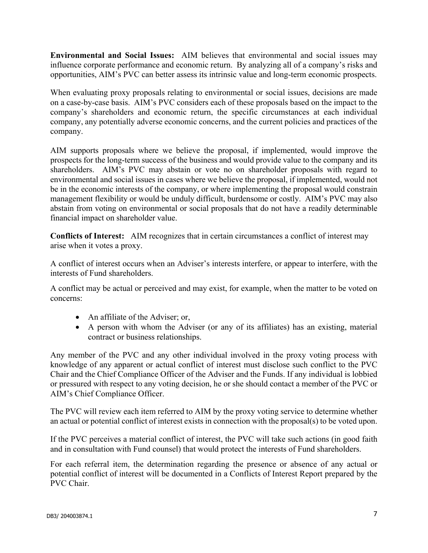**Environmental and Social Issues:** AIM believes that environmental and social issues may influence corporate performance and economic return. By analyzing all of a company's risks and opportunities, AIM's PVC can better assess its intrinsic value and long-term economic prospects.

When evaluating proxy proposals relating to environmental or social issues, decisions are made on a case-by-case basis. AIM's PVC considers each of these proposals based on the impact to the company's shareholders and economic return, the specific circumstances at each individual company, any potentially adverse economic concerns, and the current policies and practices of the company.

AIM supports proposals where we believe the proposal, if implemented, would improve the prospects for the long-term success of the business and would provide value to the company and its shareholders. AIM's PVC may abstain or vote no on shareholder proposals with regard to environmental and social issues in cases where we believe the proposal, if implemented, would not be in the economic interests of the company, or where implementing the proposal would constrain management flexibility or would be unduly difficult, burdensome or costly. AIM's PVC may also abstain from voting on environmental or social proposals that do not have a readily determinable financial impact on shareholder value.

**Conflicts of Interest:** AIM recognizes that in certain circumstances a conflict of interest may arise when it votes a proxy.

A conflict of interest occurs when an Adviser's interests interfere, or appear to interfere, with the interests of Fund shareholders.

A conflict may be actual or perceived and may exist, for example, when the matter to be voted on concerns:

- An affiliate of the Adviser; or,
- A person with whom the Adviser (or any of its affiliates) has an existing, material contract or business relationships.

Any member of the PVC and any other individual involved in the proxy voting process with knowledge of any apparent or actual conflict of interest must disclose such conflict to the PVC Chair and the Chief Compliance Officer of the Adviser and the Funds. If any individual is lobbied or pressured with respect to any voting decision, he or she should contact a member of the PVC or AIM's Chief Compliance Officer.

The PVC will review each item referred to AIM by the proxy voting service to determine whether an actual or potential conflict of interest exists in connection with the proposal(s) to be voted upon.

If the PVC perceives a material conflict of interest, the PVC will take such actions (in good faith and in consultation with Fund counsel) that would protect the interests of Fund shareholders.

For each referral item, the determination regarding the presence or absence of any actual or potential conflict of interest will be documented in a Conflicts of Interest Report prepared by the PVC Chair.